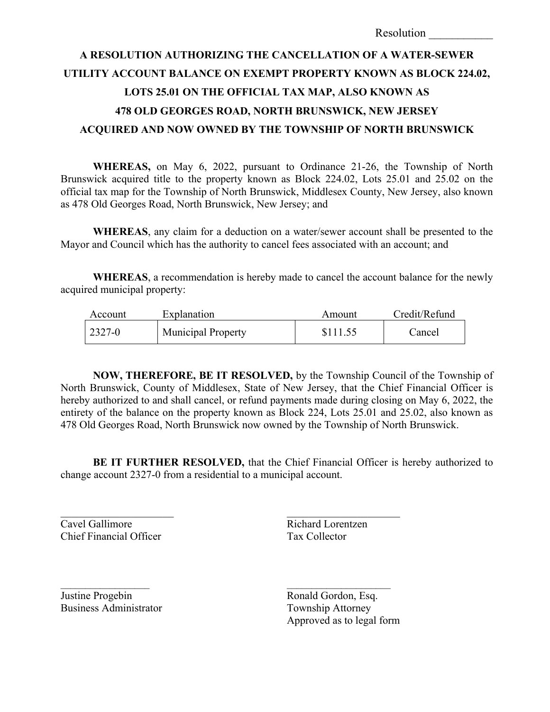## **A RESOLUTION AUTHORIZING THE CANCELLATION OF A WATER-SEWER UTILITY ACCOUNT BALANCE ON EXEMPT PROPERTY KNOWN AS BLOCK 224.02, LOTS 25.01 ON THE OFFICIAL TAX MAP, ALSO KNOWN AS 478 OLD GEORGES ROAD, NORTH BRUNSWICK, NEW JERSEY ACQUIRED AND NOW OWNED BY THE TOWNSHIP OF NORTH BRUNSWICK**

**WHEREAS,** on May 6, 2022, pursuant to Ordinance 21-26, the Township of North Brunswick acquired title to the property known as Block 224.02, Lots 25.01 and 25.02 on the official tax map for the Township of North Brunswick, Middlesex County, New Jersey, also known as 478 Old Georges Road, North Brunswick, New Jersey; and

**WHEREAS**, any claim for a deduction on a water/sewer account shall be presented to the Mayor and Council which has the authority to cancel fees associated with an account; and

**WHEREAS**, a recommendation is hereby made to cancel the account balance for the newly acquired municipal property:

| Account     | Explanation               | Amount   | Credit/Refund |
|-------------|---------------------------|----------|---------------|
| $12327 - 0$ | <b>Municipal Property</b> | \$111.55 | Cancel        |

**NOW, THEREFORE, BE IT RESOLVED,** by the Township Council of the Township of North Brunswick, County of Middlesex, State of New Jersey, that the Chief Financial Officer is hereby authorized to and shall cancel, or refund payments made during closing on May 6, 2022, the entirety of the balance on the property known as Block 224, Lots 25.01 and 25.02, also known as 478 Old Georges Road, North Brunswick now owned by the Township of North Brunswick.

**BE IT FURTHER RESOLVED,** that the Chief Financial Officer is hereby authorized to change account 2327-0 from a residential to a municipal account.

 $\mathcal{L}_\text{max}$  and  $\mathcal{L}_\text{max}$  and  $\mathcal{L}_\text{max}$  and  $\mathcal{L}_\text{max}$ 

Cavel Gallimore Richard Lorentzen Chief Financial Officer Tax Collector

Justine Progebin Ronald Gordon, Esq. Business Administrator Township Attorney

Approved as to legal form